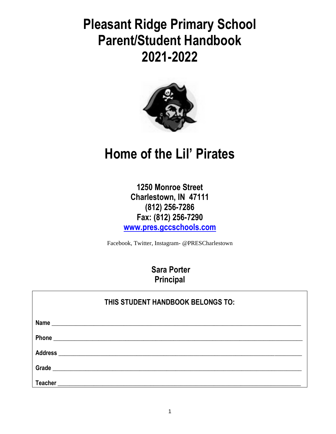**Pleasant Ridge Primary School Parent/Student Handbook 2021-2022**



# **Home of the Lil' Pirates**

**1250 Monroe Street Charlestown, IN 47111 (812) 256-7286 Fax: (812) 256-7290 [www.pres.gccsc](http://www.pres.gcs.k12.in.us/)hools.com**

Facebook, Twitter, Instagram- @PRESCharlestown

**Sara Porter Principal**

| THIS STUDENT HANDBOOK BELONGS TO: |  |  |  |  |
|-----------------------------------|--|--|--|--|
|                                   |  |  |  |  |
|                                   |  |  |  |  |
|                                   |  |  |  |  |
|                                   |  |  |  |  |
| <b>Teacher</b>                    |  |  |  |  |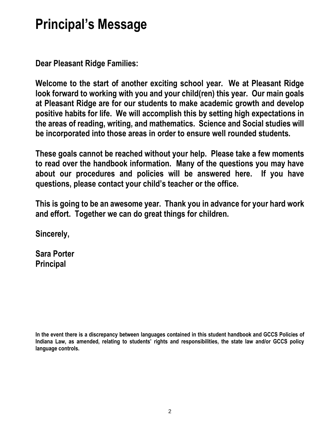# **Principal's Message**

**Dear Pleasant Ridge Families:**

**Welcome to the start of another exciting school year. We at Pleasant Ridge look forward to working with you and your child(ren) this year. Our main goals at Pleasant Ridge are for our students to make academic growth and develop positive habits for life. We will accomplish this by setting high expectations in the areas of reading, writing, and mathematics. Science and Social studies will be incorporated into those areas in order to ensure well rounded students.**

**These goals cannot be reached without your help. Please take a few moments to read over the handbook information. Many of the questions you may have about our procedures and policies will be answered here. If you have questions, please contact your child's teacher or the office.** 

**This is going to be an awesome year. Thank you in advance for your hard work and effort. Together we can do great things for children.**

**Sincerely,**

**Sara Porter Principal**

**In the event there is a discrepancy between languages contained in this student handbook and GCCS Policies of Indiana Law, as amended, relating to students' rights and responsibilities, the state law and/or GCCS policy language controls.**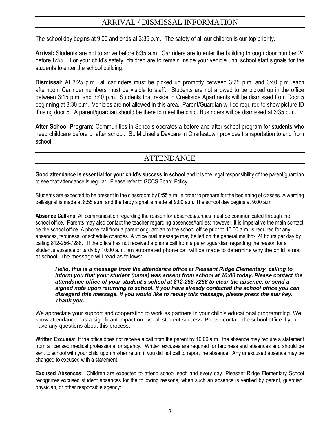# ARRIVAL / DISMISSAL INFORMATION

The school day begins at 9:00 and ends at 3:35 p.m. The safety of all our children is our top priority.

**Arrival:** Students are not to arrive before 8:35 a.m. Car riders are to enter the building through door number 24 before 8:55. For your child's safety, children are to remain inside your vehicle until school staff signals for the students to enter the school building.

**Dismissal:** At 3:25 p.m., all car riders must be picked up promptly between 3:25 p.m. and 3:40 p.m. each afternoon. Car rider numbers must be visible to staff. Students are not allowed to be picked up in the office between 3:15 p.m. and 3:40 p.m. Students that reside in Creekside Apartments will be dismissed from Door 5 beginning at 3:30 p.m. Vehicles are not allowed in this area. Parent/Guardian will be required to show picture ID if using door 5. A parent/guardian should be there to meet the child. Bus riders will be dismissed at 3:35 p.m.

**After School Program:** Communities in Schools operates a before and after school program for students who need childcare before or after school. St. Michael's Daycare in Charlestown provides transportation to and from school.

# ATTENDANCE

**Good attendance is essential for your child's success in school** and it is the legal responsibility of the parent/guardian to see that attendance is regular. Please refer to GCCS Board Policy.

Students are expected to be present in the classroom by 8:55 a.m. in order to prepare for the beginning of classes. A warning bell/signal is made at 8:55 a.m. and the tardy signal is made at 9:00 a.m. The school day begins at 9:00 a.m.

**Absence Call-ins**: All communication regarding the reason for absences/tardies must be communicated through the school office. Parents may also contact the teacher regarding absences/tardies; however, it is imperative the main contact be the school office. A phone call from a parent or guardian to the school office prior to 10:00 a.m. is required for any absences, tardiness, or schedule changes. A voice mail message may be left on the general mailbox 24 hours per day by calling 812-256-7286. If the office has not received a phone call from a parent/guardian regarding the reason for a student's absence or tardy by 10:00 a.m. an automated phone call will be made to determine why the child is not at school. The message will read as follows:

#### *Hello, this is a message from the attendance office at Pleasant Ridge Elementary, calling to inform you that your student (name) was absent from school at 10:00 today. Please contact the attendance office of your student's school at 812-256-7286 to clear the absence, or send a signed note upon returning to school. If you have already contacted the school office you can disregard this message. If you would like to replay this message, please press the star key. Thank you.*

We appreciate your support and cooperation to work as partners in your child's educational programming. We know attendance has a significant impact on overall student success. Please contact the school office if you have any questions about this process.

**Written Excuses**: If the office does not receive a call from the parent by 10:00 a.m., the absence may require a statement from a licensed medical professional or agency. Written excuses are required for tardiness and absences and should be sent to school with your child upon his/her return if you did not call to report the absence. Any unexcused absence may be changed to excused with a statement.

**Excused Absences**: Children are expected to attend school each and every day. Pleasant Ridge Elementary School recognizes excused student absences for the following reasons, when such an absence is verified by parent, guardian, physician, or other responsible agency: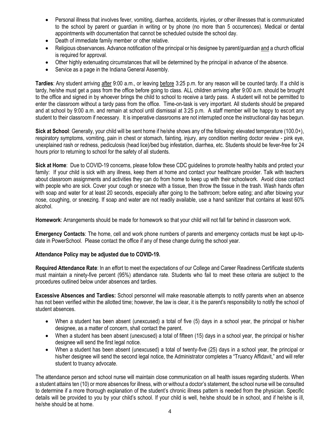- Personal illness that involves fever, vomiting, diarrhea, accidents, injuries, or other illnesses that is communicated to the school by parent or guardian in writing or by phone (no more than 5 occurrences). Medical or dental appointments with documentation that cannot be scheduled outside the school day.
- Death of immediate family member or other relative.
- Religious observances. Advance notification of the principal or his designee by parent/guardian and a church official is required for approval.
- Other highly extenuating circumstances that will be determined by the principal in advance of the absence.
- Service as a page in the Indiana General Assembly.

**Tardies**: Any student arriving after 9:00 a.m., or leaving before 3:25 p.m. for any reason will be counted tardy. If a child is tardy, he/she must get a pass from the office before going to class. ALL children arriving after 9:00 a.m. should be brought to the office and signed in by whoever brings the child to school to receive a tardy pass. A student will not be permitted to enter the classroom without a tardy pass from the office. Time-on-task is very important. All students should be prepared and at school by 9:00 a.m. and remain at school until dismissal at 3:25 p.m. A staff member will be happy to escort any student to their classroom if necessary. It is imperative classrooms are not interrupted once the instructional day has begun.

**Sick at School**: Generally, your child will be sent home if he/she shows any of the following: elevated temperature (100.0+), respiratory symptoms, vomiting, pain in chest or stomach, fainting, injury, any condition meriting doctor review - pink eye, unexplained rash or redness, pediculosis (head lice)/bed bug infestation, diarrhea, etc. Students should be fever-free for 24 hours prior to returning to school for the safety of all students.

**Sick at Home**: Due to COVID-19 concerns, please follow these CDC guidelines to promote healthy habits and protect your family: If your child is sick with any illness, keep them at home and contact your healthcare provider. Talk with teachers about classroom assignments and activities they can do from home to keep up with their schoolwork. Avoid close contact with people who are sick. Cover your cough or sneeze with a tissue, then throw the tissue in the trash. Wash hands often with soap and water for at least 20 seconds, especially after going to the bathroom; before eating; and after blowing your nose, coughing, or sneezing. If soap and water are not readily available, use a hand sanitizer that contains at least 60% alcohol.

**Homework**: Arrangements should be made for homework so that your child will not fall far behind in classroom work.

**Emergency Contacts**: The home, cell and work phone numbers of parents and emergency contacts must be kept up-todate in PowerSchool. Please contact the office if any of these change during the school year.

#### **Attendance Policy may be adjusted due to COVID-19.**

**Required Attendance Rate**: In an effort to meet the expectations of our College and Career Readiness Certificate students must maintain a ninety-five percent (95%) attendance rate. Students who fail to meet these criteria are subject to the procedures outlined below under absences and tardies.

**Excessive Absences and Tardies:** School personnel will make reasonable attempts to notify parents when an absence has not been verified within the allotted time; however, the law is clear, it is the parent's responsibility to notify the school of student absences.

- When a student has been absent (unexcused) a total of five (5) days in a school year, the principal or his/her designee, as a matter of concern, shall contact the parent.
- When a student has been absent (unexcused) a total of fifteen (15) days in a school year, the principal or his/her designee will send the first legal notice.
- When a student has been absent (unexcused) a total of twenty-five (25) days in a school year, the principal or his/her designee will send the second legal notice, the Administrator completes a "Truancy Affidavit," and will refer student to truancy advocate.

The attendance person and school nurse will maintain close communication on all health issues regarding students. When a student attains ten (10) or more absences for illness, with or without a doctor's statement, the school nurse will be consulted to determine if a more thorough explanation of the student's chronic illness pattern is needed from the physician. Specific details will be provided to you by your child's school. If your child is well, he/she should be in school, and if he/she is ill, he/she should be at home.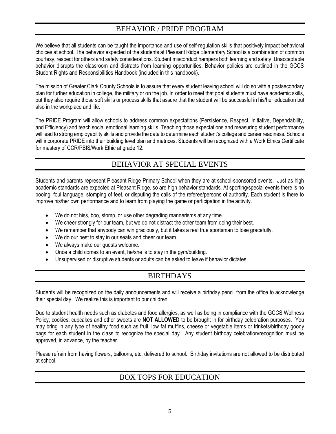# BEHAVIOR / PRIDE PROGRAM

We believe that all students can be taught the importance and use of self-regulation skills that positively impact behavioral choices at school. The behavior expected of the students at Pleasant Ridge Elementary School is a combination of common courtesy, respect for others and safety considerations. Student misconduct hampers both learning and safety. Unacceptable behavior disrupts the classroom and distracts from learning opportunities. Behavior policies are outlined in the GCCS Student Rights and Responsibilities Handbook (included in this handbook).

The mission of Greater Clark County Schools is to assure that every student leaving school will do so with a postsecondary plan for further education in college, the military or on the job. In order to meet that goal students must have academic skills, but they also require those soft skills or process skills that assure that the student will be successful in his/her education but also in the workplace and life.

The PRIDE Program will allow schools to address common expectations (Persistence, Respect, Initiative, Dependability, and Efficiency) and teach social emotional learning skills. Teaching those expectations and measuring student performance will lead to strong employability skills and provide the data to determine each student's college and career readiness. Schools will incorporate PRIDE into their building level plan and matrices. Students will be recognized with a Work Ethics Certificate for mastery of CCR/PBIS/Work Ethic at grade 12.

# BEHAVIOR AT SPECIAL EVENTS

Students and parents represent Pleasant Ridge Primary School when they are at school-sponsored events. Just as high academic standards are expected at Pleasant Ridge, so are high behavior standards*.* At sporting/special events there is no booing, foul language, stomping of feet, or disputing the calls of the referee/persons of authority. Each student is there to improve his/her own performance and to learn from playing the game or participation in the activity.

- We do not hiss, boo, stomp, or use other degrading mannerisms at any time.
- We cheer strongly for our team, but we do not distract the other team from doing their best.
- We remember that anybody can win graciously, but it takes a real true sportsman to lose gracefully.
- We do our best to stay in our seats and cheer our team.
- We always make our guests welcome.
- Once a child comes to an event, he/she is to stay in the gym/building.
- Unsupervised or disruptive students or adults can be asked to leave if behavior dictates.

# BIRTHDAYS

Students will be recognized on the daily announcements and will receive a birthday pencil from the office to acknowledge their special day. We realize this is important to our children.

Due to student health needs such as diabetes and food allergies, as well as being in compliance with the GCCS Wellness Policy, cookies, cupcakes and other sweets are **NOT ALLOWED** to be brought in for birthday celebration purposes. You may bring in any type of healthy food such as fruit, low fat muffins, cheese or vegetable items or trinkets/birthday goody bags for each student in the class to recognize the special day. Any student birthday celebration/recognition must be approved, in advance, by the teacher.

Please refrain from having flowers, balloons, etc. delivered to school. Birthday invitations are not allowed to be distributed at school.

# BOX TOPS FOR EDUCATION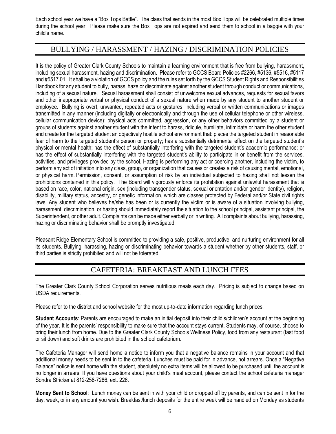Each school year we have a "Box Tops Battle". The class that sends in the most Box Tops will be celebrated multiple times during the school year. Please make sure the Box Tops are not expired and send them to school in a baggie with your child's name.

# BULLYING / HARASSMENT / HAZING / DISCRIMINATION POLICIES

It is the policy of Greater Clark County Schools to maintain a learning environment that is free from bullying, harassment, including sexual harassment, hazing and discrimination. Please refer to GCCS Board Policies #2266, #5136, #5516, #5117 and #5517.01. It shall be a violation of GCCS policy and the rules set forth by the GCCS Student Rights and Responsibilities Handbook for any student to bully, harass, haze or discriminate against another student through conduct or communications, including of a sexual nature. Sexual harassment shall consist of unwelcome sexual advances, requests for sexual favors and other inappropriate verbal or physical conduct of a sexual nature when made by any student to another student or employee. Bullying is overt, unwanted, repeated acts or gestures, including verbal or written communications or images transmitted in any manner (including digitally or electronically and through the use of cellular telephone or other wireless, cellular communication device); physical acts committed, aggression, or any other behaviors committed by a student or groups of students against another student with the intent to harass, ridicule, humiliate, intimidate or harm the other student and create for the targeted student an objectively hostile school environment that: places the targeted student in reasonable fear of harm to the targeted student's person or property; has a substantially detrimental effect on the targeted student's physical or mental health; has the effect of substantially interfering with the targeted student's academic performance; or has the effect of substantially interfering with the targeted student's ability to participate in or benefit from the services, activities, and privileges provided by the school. Hazing is performing any act or coercing another, including the victim, to perform any act of initiation into any class, group, or organization that causes or creates a risk of causing mental, emotional, or physical harm. Permission, consent, or assumption of risk by an individual subjected to hazing shall not lessen the prohibitions contained in this policy. The Board will vigorously enforce its prohibition against unlawful harassment that is based on race, color, national origin, sex (including transgender status, sexual orientation and/or gender identity), religion, disability, military status, ancestry, or genetic information, which are classes protected by Federal and/or State civil rights laws. Any student who believes he/she has been or is currently the victim or is aware of a situation involving bullying, harassment, discrimination, or hazing should immediately report the situation to the school principal, assistant principal, the Superintendent, or other adult. Complaints can be made either verbally or in writing. All complaints about bullying, harassing, hazing or discriminating behavior shall be promptly investigated.

Pleasant Ridge Elementary School is committed to providing a safe, positive, productive, and nurturing environment for all its students. Bullying, harassing, hazing or discriminating behavior towards a student whether by other students, staff, or third parties is strictly prohibited and will not be tolerated.

# CAFETERIA: BREAKFAST AND LUNCH FEES

The Greater Clark County School Corporation serves nutritious meals each day. Pricing is subject to change based on USDA requirements.

Please refer to the district and school website for the most up-to-date information regarding lunch prices.

**Student Accounts**: Parents are encouraged to make an initial deposit into their child's/children's account at the beginning of the year. It is the parents' responsibility to make sure that the account stays current. Students may, of course, choose to bring their lunch from home. Due to the Greater Clark County Schools Wellness Policy, food from any restaurant (fast food or sit down) and soft drinks are prohibited in the school cafetorium.

The Cafeteria Manager will send home a notice to inform you that a negative balance remains in your account and that additional money needs to be sent in to the cafeteria. Lunches must be paid for in advance, not arrears. Once a "Negative Balance" notice is sent home with the student, absolutely no extra items will be allowed to be purchased until the account is no longer in arrears. If you have questions about your child's meal account, please contact the school cafeteria manager Sondra Stricker at 812-256-7286, ext. 226.

**Money Sent to School**: Lunch money can be sent in with your child or dropped off by parents, and can be sent in for the day, week, or in any amount you wish. Breakfast/lunch deposits for the entire week will be handled on Monday as students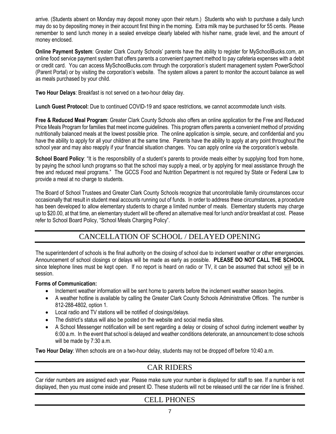arrive. (Students absent on Monday may deposit money upon their return.) Students who wish to purchase a daily lunch may do so by depositing money in their account first thing in the morning. Extra milk may be purchased for 55 cents. Please remember to send lunch money in a sealed envelope clearly labeled with his/her name, grade level, and the amount of money enclosed.

**Online Payment System**: Greater Clark County Schools' parents have the ability to register for MySchoolBucks.com, an online food service payment system that offers parents a convenient payment method to pay cafeteria expenses with a debit or credit card. You can access MySchoolBucks.com through the corporation's student management system PowerSchool (Parent Portal) or by visiting the corporation's website. The system allows a parent to monitor the account balance as well as meals purchased by your child.

**Two Hour Delays**: Breakfast is not served on a two-hour delay day.

**Lunch Guest Protocol:** Due to continued COVID-19 and space restrictions, we cannot accommodate lunch visits.

**Free & Reduced Meal Program**: Greater Clark County Schools also offers an online application for the Free and Reduced Price Meals Program for families that meet income guidelines. This program offers parents a convenient method of providing nutritionally balanced meals at the lowest possible price. The online application is simple, secure, and confidential and you have the ability to apply for all your children at the same time. Parents have the ability to apply at any point throughout the school year and may also reapply if your financial situation changes. You can apply online via the corporation's website.

**School Board Policy**: "It is the responsibility of a student's parents to provide meals either by supplying food from home, by paying the school lunch programs so that the school may supply a meal, or by applying for meal assistance through the free and reduced meal programs." The GCCS Food and Nutrition Department is not required by State or Federal Law to provide a meal at no charge to students.

The Board of School Trustees and Greater Clark County Schools recognize that uncontrollable family circumstances occur occasionally that result in student meal accounts running out of funds. In order to address these circumstances, a procedure has been developed to allow elementary students to charge a limited number of meals. Elementary students may charge up to \$20.00, at that time, an elementary student will be offered an alternative meal for lunch and/or breakfast at cost. Please refer to School Board Policy, "School Meals Charging Policy".

# CANCELLATION OF SCHOOL / DELAYED OPENING

The superintendent of schools is the final authority on the closing of school due to inclement weather or other emergencies. Announcement of school closings or delays will be made as early as possible. **PLEASE DO NOT CALL THE SCHOOL** since telephone lines must be kept open. If no report is heard on radio or TV, it can be assumed that school will be in session.

#### **Forms of Communication:**

- Inclement weather information will be sent home to parents before the inclement weather season begins.
- A weather hotline is available by calling the Greater Clark County Schools Administrative Offices. The number is 812-288-4802, option 1.
- Local radio and TV stations will be notified of closings/delays.
- The district's status will also be posted on the website and social media sites.
- A School Messenger notification will be sent regarding a delay or closing of school during inclement weather by 6:00 a.m. In the event that school is delayed and weather conditions deteriorate, an announcement to close schools will be made by 7:30 a.m.

**Two Hour Delay**: When schools are on a two-hour delay, students may not be dropped off before 10:40 a.m.

# CAR RIDERS

Car rider numbers are assigned each year. Please make sure your number is displayed for staff to see. If a number is not displayed, then you must come inside and present ID. These students will not be released until the car rider line is finished.

# CELL PHONES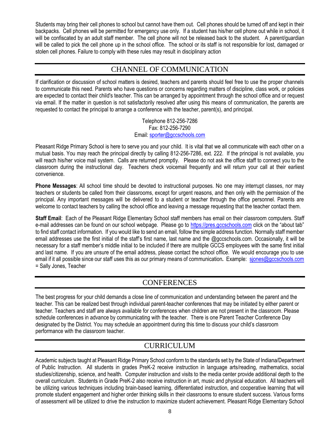Students may bring their cell phones to school but cannot have them out. Cell phones should be turned off and kept in their backpacks. Cell phones will be permitted for emergency use only. If a student has his/her cell phone out while in school, it will be confiscated by an adult staff member. The cell phone will not be released back to the student. A parent/guardian will be called to pick the cell phone up in the school office. The school or its staff is not responsible for lost, damaged or stolen cell phones. Failure to comply with these rules may result in disciplinary action

# CHANNEL OF COMMUNICATION

If clarification or discussion of school matters is desired, teachers and parents should feel free to use the proper channels to communicate this need. Parents who have questions or concerns regarding matters of discipline, class work, or policies are expected to contact their child's teacher. This can be arranged by appointment through the school office and or request via email. If the matter in question is not satisfactorily resolved after using this means of communication, the parents are requested to contact the principal to arrange a conference with the teacher, parent(s), and principal.

> Telephone 812-256-7286 Fax: 812-256-7290 Email[: sporter@gccschools.com](mailto:sporter@gccschools.com)

Pleasant Ridge Primary School is here to serve you and your child. It is vital that we all communicate with each other on a mutual basis. You may reach the principal directly by calling 812-256-7286, ext. 222. If the principal is not available, you will reach his/her voice mail system. Calls are returned promptly. Please do not ask the office staff to connect you to the classroom during the instructional day. Teachers check voicemail frequently and will return your call at their earliest convenience.

**Phone Messages**: All school time should be devoted to instructional purposes. No one may interrupt classes, nor may teachers or students be called from their classrooms, except for urgent reasons, and then only with the permission of the principal. Any important messages will be delivered to a student or teacher through the office personnel. Parents are welcome to contact teachers by calling the school office and leaving a message requesting that the teacher contact them.

**Staff Email**: Each of the Pleasant Ridge Elementary School staff members has email on their classroom computers. Staff e-mail addresses can be found on our school webpage. Please go to [https://pres.gccschools.com](https://pres.gccschools.com/) click on the "about tab" to find staff contact information. If you would like to send an email, follow the simple address function. Normally staff member email addresses use the first initial of the staff's first name, last name and the @gccschools.com. Occasionally, it will be necessary for a staff member's middle initial to be included if there are multiple GCCS employees with the same first initial and last name. If you are unsure of the email address, please contact the school office. We would encourage you to use email if it all possible since our staff uses this as our primary means of communication. Example: [sjones@gccschools.com](mailto:sjones@gccschools.com) = Sally Jones, Teacher

# **CONFERENCES**

The best progress for your child demands a close line of communication and understanding between the parent and the teacher. This can be realized best through individual parent-teacher conferences that may be initiated by either parent or teacher. Teachers and staff are always available for conferences when children are not present in the classroom. Please schedule conferences in advance by communicating with the teacher. There is one Parent Teacher Conference Day designated by the District. You may schedule an appointment during this time to discuss your child's classroom performance with the classroom teacher.

# CURRICULUM

Academic subjects taught at Pleasant Ridge Primary School conform to the standards set by the State of Indiana/Department of Public Instruction. All students in grades PreK-2 receive instruction in language arts/reading, mathematics, social studies/citizenship, science, and health. Computer instruction and visits to the media center provide additional depth to the overall curriculum. Students in Grade PreK-2 also receive instruction in art, music and physical education. All teachers will be utilizing various techniques including brain-based learning, differentiated instruction, and cooperative learning that will promote student engagement and higher order thinking skills in their classrooms to ensure student success. Various forms of assessment will be utilized to drive the instruction to maximize student achievement. Pleasant Ridge Elementary School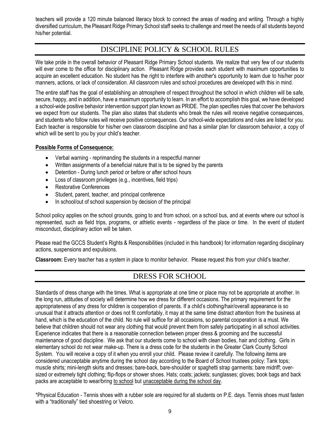teachers will provide a 120 minute balanced literacy block to connect the areas of reading and writing. Through a highly diversified curriculum, the Pleasant Ridge Primary School staff seeks to challenge and meet the needs of all students beyond his/her potential.

# DISCIPLINE POLICY & SCHOOL RULES

We take pride in the overall behavior of Pleasant Ridge Primary School students. We realize that very few of our students will ever come to the office for disciplinary action. Pleasant Ridge provides each student with maximum opportunities to acquire an excellent education. No student has the right to interfere with another's opportunity to learn due to his/her poor manners, actions, or lack of consideration. All classroom rules and school procedures are developed with this in mind.

The entire staff has the goal of establishing an atmosphere of respect throughout the school in which children will be safe, secure, happy, and in addition, have a maximum opportunity to learn. In an effort to accomplish this goal, we have developed a school-wide positive behavior intervention support plan known as PRIDE. The plan specifies rules that cover the behaviors we expect from our students. The plan also states that students who break the rules will receive negative consequences, and students who follow rules will receive positive consequences. Our school-wide expectations and rules are listed for you. Each teacher is responsible for his/her own classroom discipline and has a similar plan for classroom behavior, a copy of which will be sent to you by your child's teacher.

#### **Possible Forms of Consequence:**

- Verbal warning reprimanding the students in a respectful manner
- Written assignments of a beneficial nature that is to be signed by the parents
- Detention During lunch period or before or after school hours
- Loss of classroom privileges (e.g., incentives, field trips)
- Restorative Conferences
- Student, parent, teacher, and principal conference
- In school/out of school suspension by decision of the principal

School policy applies on the school grounds, going to and from school, on a school bus, and at events where our school is represented, such as field trips, programs, or athletic events - regardless of the place or time. In the event of student misconduct, disciplinary action will be taken.

Please read the GCCS Student's Rights & Responsibilities (included in this handbook) for information regarding disciplinary actions, suspensions and expulsions.

**Classroom:** Every teacher has a system in place to monitor behavior. Please request this from your child's teacher.

# DRESS FOR SCHOOL

Standards of dress change with the times. What is appropriate at one time or place may not be appropriate at another. In the long run, attitudes of society will determine how we dress for different occasions. The primary requirement for the appropriateness of any dress for children is cooperation of parents. If a child's clothing/hair/overall appearance is so unusual that it attracts attention or does not fit comfortably, it may at the same time distract attention from the business at hand, which is the education of the child. No rule will suffice for all occasions, so parental cooperation is a must. We believe that children should not wear any clothing that would prevent them from safely participating in all school activities. Experience indicates that there is a reasonable connection between proper dress & grooming and the successful maintenance of good discipline. We ask that our students come to school with clean bodies, hair and clothing. Girls in elementary school do not wear make-up. There is a dress code for the students in the Greater Clark County School System. You will receive a copy of it when you enroll your child. Please review it carefully. The following items are considered unacceptable anytime during the school day according to the Board of School trustees policy: Tank tops; muscle shirts; mini-length skirts and dresses; bare-back, bare-shoulder or spaghetti strap garments; bare midriff; oversized or extremely tight clothing; flip-flops or shower shoes. Hats; coats; jackets; sunglasses; gloves; book bags and back packs are acceptable to wear/bring to school but unacceptable during the school day.

\*Physical Education - Tennis shoes with a rubber sole are required for all students on P.E. days. Tennis shoes must fasten with a "traditionally" tied shoestring or Velcro.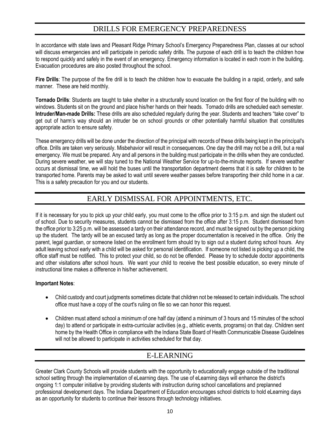# DRILLS FOR EMERGENCY PREPAREDNESS

In accordance with state laws and Pleasant Ridge Primary School's Emergency Preparedness Plan, classes at our school will discuss emergencies and will participate in periodic safety drills. The purpose of each drill is to teach the children how to respond quickly and safely in the event of an emergency. Emergency information is located in each room in the building. Evacuation procedures are also posted throughout the school.

**Fire Drills**: The purpose of the fire drill is to teach the children how to evacuate the building in a rapid, orderly, and safe manner. These are held monthly.

**Tornado Drills**: Students are taught to take shelter in a structurally sound location on the first floor of the building with no windows. Students sit on the ground and place his/her hands on their heads. Tornado drills are scheduled each semester. **Intruder/Man-made Drills:** These drills are also scheduled regularly during the year. Students and teachers "take cover" to get out of harm's way should an intruder be on school grounds or other potentially harmful situation that constitutes appropriate action to ensure safety.

These emergency drills will be done under the direction of the principal with records of these drills being kept in the principal's office. Drills are taken very seriously. Misbehavior will result in consequences. One day the drill may not be a drill, but a real emergency. We must be prepared. Any and all persons in the building must participate in the drills when they are conducted. During severe weather, we will stay tuned to the National Weather Service for up-to-the-minute reports. If severe weather occurs at dismissal time, we will hold the buses until the transportation department deems that it is safe for children to be transported home. Parents may be asked to wait until severe weather passes before transporting their child home in a car. This is a safety precaution for you and our students.

# EARLY DISMISSAL FOR APPOINTMENTS, ETC.

If it is necessary for you to pick up your child early, you must come to the office prior to 3:15 p.m. and sign the student out of school. Due to security measures, students cannot be dismissed from the office after 3:15 p.m. Student dismissed from the office prior to 3:25 p.m. will be assessed a tardy on their attendance record, and must be signed out by the person picking up the student. The tardy will be an excused tardy as long as the proper documentation is received in the office. Only the parent, legal guardian, or someone listed on the enrollment form should try to sign out a student during school hours. Any adult leaving school early with a child will be asked for personal identification. If someone not listed is picking up a child, the office staff must be notified. This to protect your child, so do not be offended. Please try to schedule doctor appointments and other visitations after school hours. We want your child to receive the best possible education, so every minute of instructional time makes a difference in his/her achievement.

#### **Important Notes**:

- Child custody and court judgments sometimes dictate that children not be released to certain individuals. The school office must have a copy of the court's ruling on file so we can honor this request.
- Children must attend school a minimum of one half day (attend a minimum of 3 hours and 15 minutes of the school day) to attend or participate in extra-curricular activities (e.g., athletic events, programs) on that day. Children sent home by the Health Office in compliance with the Indiana State Board of Health Communicable Disease Guidelines will not be allowed to participate in activities scheduled for that day.

# E-LEARNING

Greater Clark County Schools will provide students with the opportunity to educationally engage outside of the traditional school setting through the implementation of eLearning days. The use of eLearning days will enhance the district's ongoing 1:1 computer initiative by providing students with instruction during school cancellations and preplanned professional development days. The Indiana Department of Education encourages school districts to hold eLearning days as an opportunity for students to continue their lessons through technology initiatives.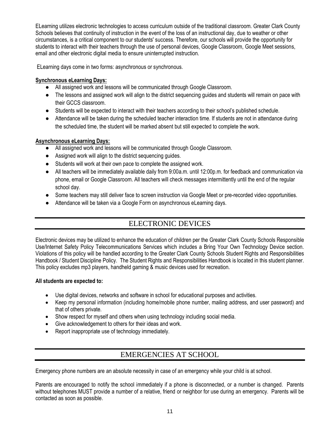ELearning utilizes electronic technologies to access curriculum outside of the traditional classroom. Greater Clark County Schools believes that continuity of instruction in the event of the loss of an instructional day, due to weather or other circumstances, is a critical component to our students' success. Therefore, our schools will provide the opportunity for students to interact with their teachers through the use of personal devices, Google Classroom, Google Meet sessions, email and other electronic digital media to ensure uninterrupted instruction.

ELearning days come in two forms: asynchronous or synchronous.

#### **Synchronous eLearning Days:**

- All assigned work and lessons will be communicated through Google Classroom.
- The lessons and assigned work will align to the district sequencing guides and students will remain on pace with their GCCS classroom.
- Students will be expected to interact with their teachers according to their school's published schedule.
- Attendance will be taken during the scheduled teacher interaction time. If students are not in attendance during the scheduled time, the student will be marked absent but still expected to complete the work.

#### **Asynchronous eLearning Days:**

- All assigned work and lessons will be communicated through Google Classroom.
- Assigned work will align to the district sequencing guides.
- Students will work at their own pace to complete the assigned work.
- All teachers will be immediately available daily from 9:00a.m. until 12:00p.m. for feedback and communication via phone, email or Google Classroom. All teachers will check messages intermittently until the end of the regular school day.
- Some teachers may still deliver face to screen instruction via Google Meet or pre-recorded video opportunities.
- Attendance will be taken via a Google Form on asynchronous eLearning days.

# ELECTRONIC DEVICES

Electronic devices may be utilized to enhance the education of children per the Greater Clark County Schools Responsible Use/Internet Safety Policy Telecommunications Services which includes a Bring Your Own Technology Device section. Violations of this policy will be handled according to the Greater Clark County Schools Student Rights and Responsibilities Handbook / Student Discipline Policy. The Student Rights and Responsibilities Handbook is located in this student planner. This policy excludes mp3 players, handheld gaming & music devices used for recreation.

#### **All students are expected to:**

- Use digital devices, networks and software in school for educational purposes and activities.
- Keep my personal information (including home/mobile phone number, mailing address, and user password) and that of others private.
- Show respect for myself and others when using technology including social media.
- Give acknowledgement to others for their ideas and work.
- Report inappropriate use of technology immediately.

# EMERGENCIES AT SCHOOL

Emergency phone numbers are an absolute necessity in case of an emergency while your child is at school.

Parents are encouraged to notify the school immediately if a phone is disconnected, or a number is changed. Parents without telephones MUST provide a number of a relative, friend or neighbor for use during an emergency. Parents will be contacted as soon as possible.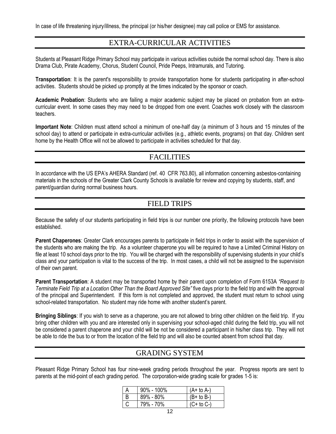In case of life threatening injury/illness, the principal (or his/her designee) may call police or EMS for assistance.

### EXTRA-CURRICULAR ACTIVITIES

Students at Pleasant Ridge Primary School may participate in various activities outside the normal school day. There is also Drama Club, Pirate Academy, Chorus, Student Council, Pride Peeps, Intramurals, and Tutoring.

**Transportation**: It is the parent's responsibility to provide transportation home for students participating in after-school activities. Students should be picked up promptly at the times indicated by the sponsor or coach.

**Academic Probation**: Students who are failing a major academic subject may be placed on probation from an extracurricular event. In some cases they may need to be dropped from one event. Coaches work closely with the classroom teachers.

**Important Note**: Children must attend school a minimum of one-half day (a minimum of 3 hours and 15 minutes of the school day) to attend or participate in extra-curricular activities (e.g., athletic events, programs) on that day. Children sent home by the Health Office will not be allowed to participate in activities scheduled for that day.

### **FACILITIES**

In accordance with the US EPA's AHERA Standard (ref. 40 CFR 763.80), all information concerning asbestos-containing materials in the schools of the Greater Clark County Schools is available for review and copying by students, staff, and parent/guardian during normal business hours.

# FIELD TRIPS

Because the safety of our students participating in field trips is our number one priority, the following protocols have been established.

**Parent Chaperones**: Greater Clark encourages parents to participate in field trips in order to assist with the supervision of the students who are making the trip. As a volunteer chaperone you will be required to have a Limited Criminal History on file at least 10 school days prior to the trip. You will be charged with the responsibility of supervising students in your child's class and your participation is vital to the success of the trip. In most cases, a child will not be assigned to the supervision of their own parent.

**Parent Transportation**: A student may be transported home by their parent upon completion of Form 6153A *"Request to Terminate Field Trip at a Location Other Than the Board Approved Site"* five days prior to the field trip and with the approval of the principal and Superintendent. If this form is not completed and approved, the student must return to school using school-related transportation. No student may ride home with another student's parent.

**Bringing Siblings**: If you wish to serve as a chaperone, you are not allowed to bring other children on the field trip. If you bring other children with you and are interested only in supervising your school-aged child during the field trip, you will not be considered a parent chaperone and your child will be not be considered a participant in his/her class trip. They will not be able to ride the bus to or from the location of the field trip and will also be counted absent from school that day.

# GRADING SYSTEM

Pleasant Ridge Primary School has four nine-week grading periods throughout the year. Progress reports are sent to parents at the mid-point of each grading period. The corporation-wide grading scale for grades 1-5 is:

| $90\% - 100\%$ | $(A+ to A-)$   |
|----------------|----------------|
| 89% - 80%      | (B+ to B-)     |
| 79% - 70%      | $(C+$ to $C-)$ |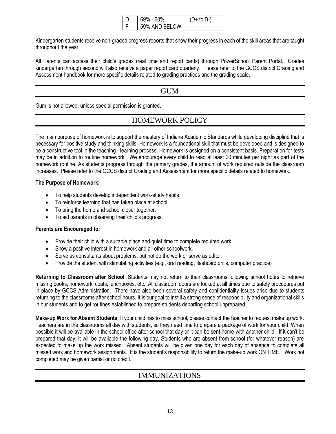|  |                  | ו_ו |
|--|------------------|-----|
|  | AND BELOW<br>59% |     |

Kindergarten students receive non-graded progress reports that show their progress in each of the skill areas that are taught throughout the year.

All Parents can access their child's grades (real time and report cards) through PowerSchool Parent Portal. Grades kindergarten through second will also receive a paper report card quarterly. Please refer to the GCCS district Grading and Assessment handbook for more specific details related to grading practices and the grading scale.

### **GUM**

Gum is not allowed, unless special permission is granted.

# HOMEWORK POLICY

The main purpose of homework is to support the mastery of Indiana Academic Standards while developing discipline that is necessary for positive study and thinking skills. Homework is a foundational skill that must be developed and is designed to be a constructive tool in the teaching - learning process. Homework is assigned on a consistent basis. Preparation for tests may be in addition to routine homework. We encourage every child to read at least 20 minutes per night as part of the homework routine. As students progress through the primary grades, the amount of work required outside the classroom increases. Please refer to the GCCS district Grading and Assessment for more specific details related to homework.

#### **The Purpose of Homework:**

- To help students develop independent work-study habits.
- To reinforce learning that has taken place at school.
- To bring the home and school closer together.
- To aid parents in observing their child's progress.

#### **Parents are Encouraged to:**

- Provide their child with a suitable place and quiet time to complete required work.
- Show a positive interest in homework and all other schoolwork.
- Serve as consultants about problems, but not do the work or serve as editor.
- Provide the student with stimulating activities (e.g., oral reading, flashcard drills, computer practice)

**Returning to Classroom after School**: Students may not return to their classrooms following school hours to retrieve missing books, homework, coats, lunchboxes, etc. All classroom doors are locked at all times due to safety procedures put in place by GCCS Administration. There have also been several safety and confidentiality issues arise due to students returning to the classrooms after school hours. It is our goal to instill a strong sense of responsibility and organizational skills in our students and to get routines established to prepare students departing school unprepared.

**Make-up Work for Absent Students**: If your child has to miss school, please contact the teacher to request make up work. Teachers are in the classrooms all day with students, so they need time to prepare a package of work for your child. When possible it will be available in the school office after school that day or it can be sent home with another child. If it can't be prepared that day, it will be available the following day. Students who are absent from school (for whatever reason) are expected to make up the work missed. Absent students will be given one day for each day of absence to complete all missed work and homework assignments. It is the student's responsibility to return the make-up work ON TIME. Work not completed may be given partial or no credit.

# IMMUNIZATIONS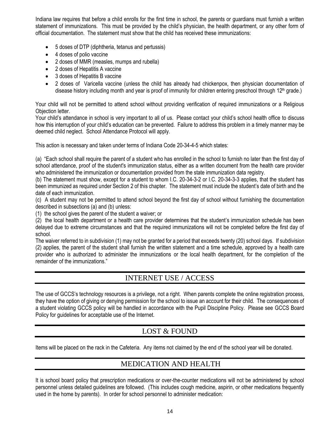Indiana law requires that before a child enrolls for the first time in school, the parents or guardians must furnish a written statement of immunizations. This must be provided by the child's physician, the health department, or any other form of official documentation. The statement must show that the child has received these immunizations:

- 5 doses of DTP (diphtheria, tetanus and pertussis)
- 4 doses of polio vaccine
- 2 doses of MMR (measles, mumps and rubella)
- 2 doses of Hepatitis A vaccine
- 3 doses of Hepatitis B vaccine
- 2 doses of Varicella vaccine (unless the child has already had chickenpox, then physician documentation of disease history including month and year is proof of immunity for children entering preschool through 12<sup>th</sup> grade.)

Your child will not be permitted to attend school without providing verification of required immunizations or a Religious Objection letter.

Your child's attendance in school is very important to all of us. Please contact your child's school health office to discuss how this interruption of your child's education can be prevented. Failure to address this problem in a timely manner may be deemed child neglect. School Attendance Protocol will apply.

This action is necessary and taken under terms of Indiana Code 20-34-4-5 which states:

(a) "Each school shall require the parent of a student who has enrolled in the school to furnish no later than the first day of school attendance, proof of the student's immunization status, either as a written document from the health care provider who administered the immunization or documentation provided from the state immunization data registry.

(b) The statement must show, except for a student to whom I.C. 20-34-3-2 or I.C. 20-34-3-3 applies, that the student has been immunized as required under Section 2 of this chapter. The statement must include the student's date of birth and the date of each immunization.

(c) A student may not be permitted to attend school beyond the first day of school without furnishing the documentation described in subsections (a) and (b) unless:

(1) the school gives the parent of the student a waiver; or

(2) the local health department or a health care provider determines that the student's immunization schedule has been delayed due to extreme circumstances and that the required immunizations will not be completed before the first day of school.

The waiver referred to in subdivision (1) may not be granted for a period that exceeds twenty (20) school days. If subdivision (2) applies, the parent of the student shall furnish the written statement and a time schedule, approved by a health care provider who is authorized to administer the immunizations or the local health department, for the completion of the remainder of the immunizations."

# INTERNET USE / ACCESS

The use of GCCS's technology resources is a privilege, not a right. When parents complete the online registration process, they have the option of giving or denying permission for the school to issue an account for their child. The consequences of a student violating GCCS policy will be handled in accordance with the Pupil Discipline Policy. Please see GCCS Board Policy for guidelines for acceptable use of the Internet.

# LOST & FOUND

Items will be placed on the rack in the Cafeteria. Any items not claimed by the end of the school year will be donated.

# MEDICATION AND HEALTH

It is school board policy that prescription medications or over-the-counter medications will not be administered by school personnel unless detailed guidelines are followed. (This includes cough medicine, aspirin, or other medications frequently used in the home by parents). In order for school personnel to administer medication: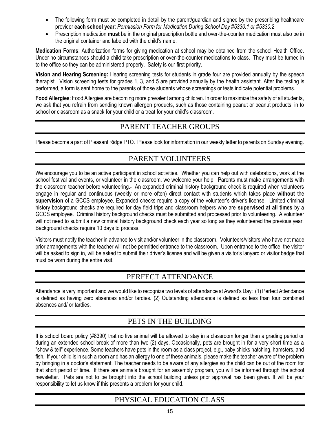- The following form must be completed in detail by the parent/guardian and signed by the prescribing healthcare provider **each school year**: *Permission Form for Medication During School Day #5330.1 or #5330.2*
- Prescription medication **must** be in the original prescription bottle and over-the-counter medication must also be in the original container and labeled with the child's name.

**Medication Forms**: Authorization forms for giving medication at school may be obtained from the school Health Office. Under no circumstances should a child take prescription or over-the-counter medications to class. They must be turned in to the office so they can be administered properly. Safety is our first priority.

**Vision and Hearing Screening:** Hearing screening tests for students in grade four are provided annually by the speech therapist. Vision screening tests for grades 1, 3, and 5 are provided annually by the health assistant. After the testing is performed, a form is sent home to the parents of those students whose screenings or tests indicate potential problems.

**Food Allergies**: Food Allergies are becoming more prevalent among children. In order to maximize the safety of all students, we ask that you refrain from sending known allergen products, such as those containing peanut or peanut products, in to school or classroom as a snack for your child or a treat for your child's classroom.

# PARENT TEACHER GROUPS

Please become a part of Pleasant Ridge PTO. Please look for information in our weekly letter to parents on Sunday evening.

# PARENT VOLUNTEERS

We encourage you to be an active participant in school activities. Whether you can help out with celebrations, work at the school festival and events, or volunteer in the classroom, we welcome your help. Parents must make arrangements with the classroom teacher before volunteering.. An expanded criminal history background check is required when volunteers engage in regular and continuous (weekly or more often) direct contact with students which takes place **without** the **supervision** of a GCCS employee. Expanded checks require a copy of the volunteer's driver's license. Limited criminal history background checks are required for day field trips and classroom helpers who are **supervised at all times** by a GCCS employee. Criminal history background checks must be submitted and processed prior to volunteering. A volunteer will not need to submit a new criminal history background check each year so long as they volunteered the previous year. Background checks require 10 days to process.

Visitors must notify the teacher in advance to visit and/or volunteer in the classroom. Volunteers/visitors who have not made prior arrangements with the teacher will not be permitted entrance to the classroom.Upon entrance to the office, the visitor will be asked to sign in, will be asked to submit their driver's license and will be given a visitor's lanyard or visitor badge that must be worn during the entire visit.

# PERFECT ATTENDANCE

Attendance is very important and we would like to recognize two levels of attendance at Award's Day: (1) Perfect Attendance is defined as having zero absences and/or tardies. (2) Outstanding attendance is defined as less than four combined absences and/ or tardies.

# PETS IN THE BUILDING

It is school board policy (#8390) that no live animal will be allowed to stay in a classroom longer than a grading period or during an extended school break of more than two (2) days. Occasionally, pets are brought in for a very short time as a "show & tell" experience. Some teachers have pets in the room as a class project, e.g., baby chicks hatching, hamsters, and fish. If your child is in such a room and has an allergy to one of these animals, please make the teacher aware of the problem by bringing in a doctor's statement. The teacher needs to be aware of any allergies so the child can be out of the room for that short period of time. If there are animals brought for an assembly program, you will be informed through the school newsletter. Pets are not to be brought into the school building unless prior approval has been given. It will be your responsibility to let us know if this presents a problem for your child.

# PHYSICAL EDUCATION CLASS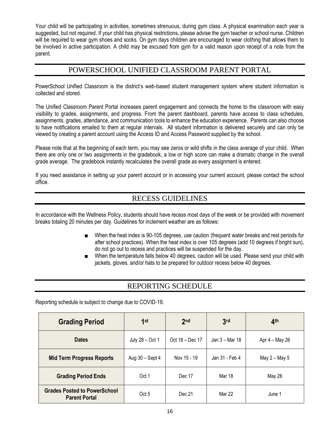Your child will be participating in activities, sometimes strenuous, during gym class. A physical examination each year is suggested, but not required. If your child has physical restrictions, please advise the gym teacher or school nurse. Children will be required to wear gym shoes and socks. On gym days children are encouraged to wear clothing that allows them to be involved in active participation. A child may be excused from gym for a valid reason upon receipt of a note from the parent.

# POWERSCHOOL UNIFIED CLASSROOM PARENT PORTAL

PowerSchool Unified Classroom is the district's web-based student management system where student information is collected and stored.

The Unified Classroom Parent Portal increases parent engagement and connects the home to the classroom with easy visibility to grades, assignments, and progress. From the parent dashboard, parents have access to class schedules, assignments, grades, attendance, and communication tools to enhance the education experience. Parents can also choose to have notifications emailed to them at regular intervals. All student information is delivered securely and can only be viewed by creating a parent account using the Access ID and Access Password supplied by the school.

Please note that at the beginning of each term, you may see zeros or wild shifts in the class average of your child. When there are only one or two assignments in the gradebook, a low or high score can make a dramatic change in the overall grade average. The gradebook instantly recalculates the overall grade as every assignment is entered.

If you need assistance in setting up your parent account or in accessing your current account, please contact the school office.

# RECESS GUIDELINES

In accordance with the Wellness Policy, students should have recess most days of the week or be provided with movement breaks totaling 20 minutes per day. Guidelines for inclement weather are as follows:

- When the heat index is 90-105 degrees, use caution (frequent water breaks and rest periods for after school practices). When the heat index is over 105 degrees (add 10 degrees if bright sun), do not go out to recess and practices will be suspended for the day.
- When the temperature falls below 40 degrees, caution will be used. Please send your child with jackets, gloves, and/or hats to be prepared for outdoor recess below 40 degrees.

# REPORTING SCHEDULE

Reporting schedule is subject to change due to COVID-19.

| <b>Grading Period</b>                                       | 1st               | 2 <sub>nd</sub> | 3 <sub>rd</sub> | 4 <sup>th</sup> |
|-------------------------------------------------------------|-------------------|-----------------|-----------------|-----------------|
| <b>Dates</b>                                                | July 28 - Oct 1   | Oct 18 – Dec 17 | Jan 3 – Mar 18  | Apr 4 – May 26  |
| <b>Mid Term Progress Reports</b>                            | Aug $30 -$ Sept 4 | Nov 15 - 19     | Jan 31 - Feb 4  | May 2 - May 5   |
| <b>Grading Period Ends</b>                                  | Oct 1             | Dec 17          | Mar 18          | <b>May 26</b>   |
| <b>Grades Posted to PowerSchool</b><br><b>Parent Portal</b> | Oct 5             | Dec 21          | Mar 22          | June 1          |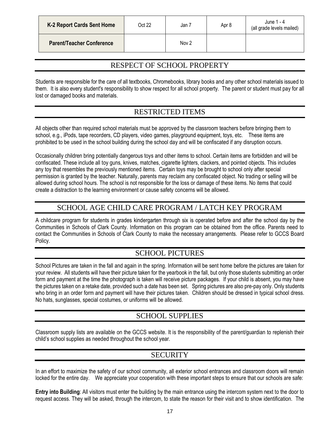| <b>K-2 Report Cards Sent Home</b> | Oct 22 | Jan 7            | Apr 8 | June 1 - 4<br>(all grade levels mailed) |
|-----------------------------------|--------|------------------|-------|-----------------------------------------|
| <b>Parent/Teacher Conference</b>  |        | Nov <sub>2</sub> |       |                                         |

# RESPECT OF SCHOOL PROPERTY

Students are responsible for the care of all textbooks, Chromebooks, library books and any other school materials issued to them. It is also every student's responsibility to show respect for all school property. The parent or student must pay for all lost or damaged books and materials.

# RESTRICTED ITEMS

All objects other than required school materials must be approved by the classroom teachers before bringing them to school, e.g., iPods, tape recorders, CD players, video games, playground equipment, toys, etc. These items are prohibited to be used in the school building during the school day and will be confiscated if any disruption occurs.

Occasionally children bring potentially dangerous toys and other items to school. Certain items are forbidden and will be confiscated. These include all toy guns, knives, matches, cigarette lighters, clackers, and pointed objects. This includes any toy that resembles the previously mentioned items. Certain toys may be brought to school only after special permission is granted by the teacher. Naturally, parents may reclaim any confiscated object. No trading or selling will be allowed during school hours. The school is not responsible for the loss or damage of these items. No items that could create a distraction to the learning environment or cause safety concerns will be allowed.

# SCHOOL AGE CHILD CARE PROGRAM / LATCH KEY PROGRAM

A childcare program for students in grades kindergarten through six is operated before and after the school day by the Communities in Schools of Clark County. Information on this program can be obtained from the office. Parents need to contact the Communities in Schools of Clark County to make the necessary arrangements. Please refer to GCCS Board Policy.

# SCHOOL PICTURES

School Pictures are taken in the fall and again in the spring. Information will be sent home before the pictures are taken for your review. All students will have their picture taken for the yearbook in the fall, but only those students submitting an order form and payment at the time the photograph is taken will receive picture packages. If your child is absent, you may have the pictures taken on a retake date, provided such a date has been set. Spring pictures are also pre-pay only. Only students who bring in an order form and payment will have their pictures taken.Children should be dressed in typical school dress. No hats, sunglasses, special costumes, or uniforms will be allowed.

# SCHOOL SUPPLIES

Classroom supply lists are available on the GCCS website. It is the responsibility of the parent/guardian to replenish their child's school supplies as needed throughout the school year.

# **SECURITY**

In an effort to maximize the safety of our school community, all exterior school entrances and classroom doors will remain locked for the entire day. We appreciate your cooperation with these important steps to ensure that our schools are safe:

**Entry into Building**: All visitors must enter the building by the main entrance using the intercom system next to the door to request access. They will be asked, through the intercom, to state the reason for their visit and to show identification. The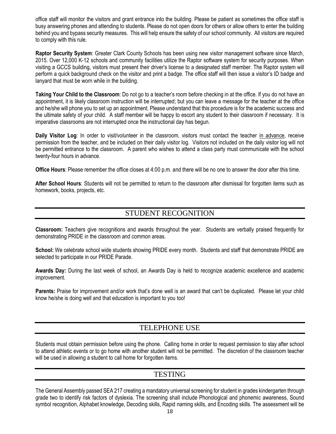office staff will monitor the visitors and grant entrance into the building. Please be patient as sometimes the office staff is busy answering phones and attending to students. Please do not open doors for others or allow others to enter the building behind you and bypass security measures. This will help ensure the safety of our school community. All visitors are required to comply with this rule.

**Raptor Security System**: Greater Clark County Schools has been using new visitor management software since March, 2015. Over 12,000 K-12 schools and community facilities utilize the Raptor software system for security purposes. When visiting a GCCS building, visitors must present their driver's license to a designated staff member. The Raptor system will perform a quick background check on the visitor and print a badge. The office staff will then issue a visitor's ID badge and lanyard that must be worn while in the building.

**Taking Your Child to the Classroom**: Do not go to a teacher's room before checking in at the office. If you do not have an appointment, it is likely classroom instruction will be interrupted; but you can leave a message for the teacher at the office and he/she will phone you to set up an appointment. Please understand that this procedure is for the academic success and the ultimate safety of your child. A staff member will be happy to escort any student to their classroom if necessary. It is imperative classrooms are not interrupted once the instructional day has begun.

**Daily Visitor Log**: In order to visit/volunteer in the classroom, visitors must contact the teacher in advance, receive permission from the teacher, and be included on their daily visitor log. Visitors not included on the daily visitor log will not be permitted entrance to the classroom. A parent who wishes to attend a class party must communicate with the school twenty-four hours in advance.

**Office Hours**: Please remember the office closes at 4:00 p.m. and there will be no one to answer the door after this time.

**After School Hours**: Students will not be permitted to return to the classroom after dismissal for forgotten items such as homework, books, projects, etc.

### STUDENT RECOGNITION

**Classroom:** Teachers give recognitions and awards throughout the year. Students are verbally praised frequently for demonstrating PRIDE in the classroom and common areas.

**School:** We celebrate school wide students showing PRIDE every month. Students and staff that demonstrate PRIDE are selected to participate in our PRIDE Parade.

**Awards Day:** During the last week of school, an Awards Day is held to recognize academic excellence and academic improvement.

**Parents:** Praise for improvement and/or work that's done well is an award that can't be duplicated. Please let your child know he/she is doing well and that education is important to you too!

# TELEPHONE USE

Students must obtain permission before using the phone. Calling home in order to request permission to stay after school to attend athletic events or to go home with another student will not be permitted. The discretion of the classroom teacher will be used in allowing a student to call home for forgotten items.

#### **TESTING**

The General Assembly passed SEA 217 creating a mandatory universal screening for student in grades kindergarten through grade two to identify risk factors of dyslexia. The screening shall include Phonological and phonemic awareness, Sound symbol recognition, Alphabet knowledge, Decoding skills, Rapid naming skills, and Encoding skills. The assessment will be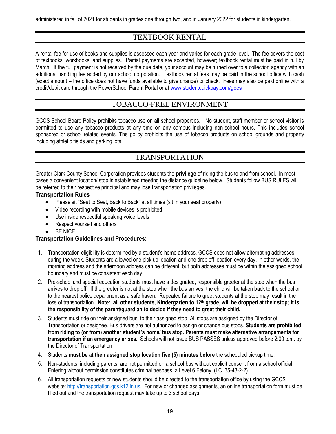administered in fall of 2021 for students in grades one through two, and in January 2022 for students in kindergarten.

# TEXTBOOK RENTAL

A rental fee for use of books and supplies is assessed each year and varies for each grade level. The fee covers the cost of textbooks, workbooks, and supplies. Partial payments are accepted, however; textbook rental must be paid in full by March. If the full payment is not received by the due date, your account may be turned over to a collection agency with an additional handling fee added by our school corporation. Textbook rental fees may be paid in the school office with cash (exact amount – the office does not have funds available to give change) or check. Fees may also be paid online with a credit/debit card through the PowerSchool Parent Portal or at [www.studentquickpay.com](http://www.studentquickpay.com/gccs)[/gccs](http://www.studentquickpay.com/gccs)

# TOBACCO-FREE ENVIRONMENT

GCCS School Board Policy prohibits tobacco use on all school properties. No student, staff member or school visitor is permitted to use any tobacco products at any time on any campus including non-school hours. This includes school sponsored or school related events. The policy prohibits the use of tobacco products on school grounds and property including athletic fields and parking lots.

# TRANSPORTATION

Greater Clark County School Corporation provides students the **privilege** of riding the bus to and from school. In most cases a convenient location/ stop is established meeting the distance guideline below. Students follow BUS RULES will be referred to their respective principal and may lose transportation privileges.

#### **Transportation Rules**

- Please sit "Seat to Seat, Back to Back" at all times (sit in your seat properly)
- Video recording with mobile devices is prohibited
- Use inside respectful speaking voice levels
- Respect yourself and others
- BE NICE

#### **Transportation Guidelines and Procedures:**

- 1. Transportation eligibility is determined by a student's home address. GCCS does not allow alternating addresses during the week. Students are allowed one pick up location and one drop off location every day. In other words, the morning address and the afternoon address can be different, but both addresses must be within the assigned school boundary and must be consistent each day.
- 2. Pre-school and special education students must have a designated, responsible greeter at the stop when the bus arrives to drop off. If the greeter is not at the stop when the bus arrives, the child will be taken back to the school or to the nearest police department as a safe haven. Repeated failure to greet students at the stop may result in the loss of transportation. **Note: all other students, Kindergarten to 12th grade, will be dropped at their stop; it is the responsibility of the parent/guardian to decide if they need to greet their child.**
- 3. Students must ride on their assigned bus, to their assigned stop. All stops are assigned by the Director of Transportation or designee. Bus drivers are not authorized to assign or change bus stops. **Students are prohibited from riding to (or from) another student's home/ bus stop. Parents must make alternative arrangements for transportation if an emergency arises.** Schools will not issue BUS PASSES unless approved before 2:00 p.m. by the Director of Transportation
- 4. Students **must be at their assigned stop location five (5) minutes before** the scheduled pickup time.
- 5. Non-students, including parents, are not permitted on a school bus without explicit consent from a school official. Entering without permission constitutes criminal trespass, a Level 6 Felony. (I.C. 35-43-2-2).
- 6. All transportation requests or new students should be directed to the transportation office by using the GCCS website: [http://transportation.gcs.k12.in.us.](http://transportation.gcs.k12.in.us/) For new or changed assignments, an online transportation form must be filled out and the transportation request may take up to 3 school days.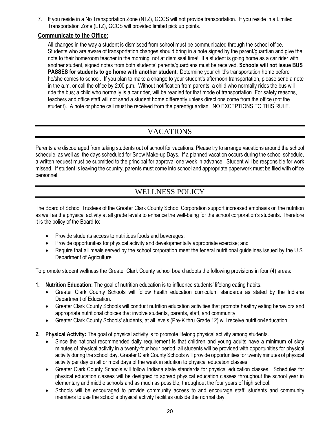7. If you reside in a No Transportation Zone (NTZ), GCCS will not provide transportation. If you reside in a Limited Transportation Zone (LTZ), GCCS will provided limited pick up points.

#### **Communicate to the Office**:

All changes in the way a student is dismissed from school must be communicated through the school office. Students who are aware of transportation changes should bring in a note signed by the parent/guardian and give the note to their homeroom teacher in the morning, not at dismissal time!If a student is going home as a car rider with another student, signed notes from both students' parents/guardians must be received. **Schools will not issue BUS PASSES for students to go home with another student.** Determine your child's transportation home before he/she comes to school. If you plan to make a change to your student's afternoon transportation, please send a note in the a.m. or call the office by 2:00 p.m. Without notification from parents, a child who normally rides the bus will ride the bus; a child who normally is a car rider, will be readied for that mode of transportation. For safety reasons, teachers and office staff will not send a student home differently unless directions come from the office (not the student). A note or phone call must be received from the parent/guardian. NO EXCEPTIONS TO THIS RULE.

# VACATIONS

Parents are discouraged from taking students out of school for vacations. Please try to arrange vacations around the school schedule, as well as, the days scheduled for Snow Make-up Days. If a planned vacation occurs during the school schedule, a written request must be submitted to the principal for approval one week in advance. Student will be responsible for work missed. If student is leaving the country, parents must come into school and appropriate paperwork must be filed with office personnel.

# WELLNESS POLICY

The Board of School Trustees of the Greater Clark County School Corporation support increased emphasis on the nutrition as well as the physical activity at all grade levels to enhance the well-being for the school corporation's students. Therefore it is the policy of the Board to:

- Provide students access to nutritious foods and beverages;
- Provide opportunities for physical activity and developmentally appropriate exercise; and
- Require that all meals served by the school corporation meet the federal nutritional guidelines issued by the U.S. Department of Agriculture.

To promote student wellness the Greater Clark County school board adopts the following provisions in four (4) areas:

- **1. Nutrition Education:** The goal of nutrition education is to influence students' lifelong eating habits.
	- Greater Clark County Schools will follow health education curriculum standards as stated by the Indiana Department of Education.
	- Greater Clark County Schools will conduct nutrition education activities that promote healthy eating behaviors and appropriate nutritional choices that involve students, parents, staff, and community.
	- Greater Clark County Schools' students, at all levels (Pre-K thru Grade 12) will receive nutrition4education.
- **2. Physical Activity:** The goal of physical activity is to promote lifelong physical activity among students.
	- Since the national recommended daily requirement is that children and young adults have a minimum of sixty minutes of physical activity in a twenty-four hour period, all students will be provided with opportunities for physical activity during the school day. Greater Clark County Schools will provide opportunities for twenty minutes of physical activity per day on all or most days of the week in addition to physical education classes.
	- Greater Clark County Schools will follow Indiana state standards for physical education classes. Schedules for physical education classes will be designed to spread physical education classes throughout the school year in elementary and middle schools and as much as possible, throughout the four years of high school.
	- Schools will be encouraged to provide community access to and encourage staff, students and community members to use the school's physical activity facilities outside the normal day.